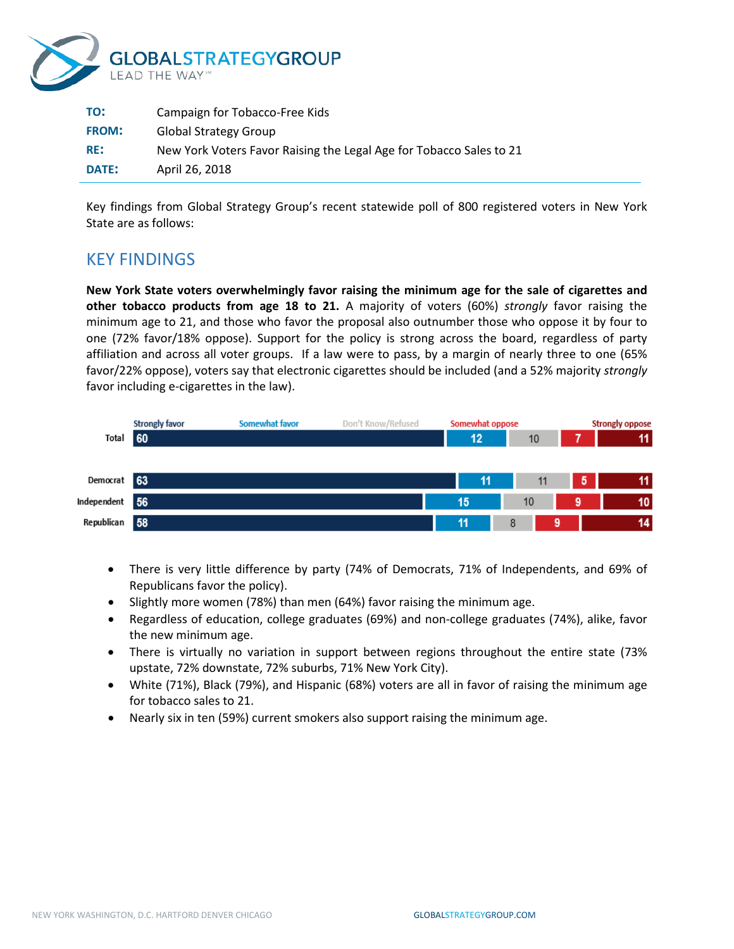

| TO:          | Campaign for Tobacco-Free Kids                                      |
|--------------|---------------------------------------------------------------------|
| <b>FROM:</b> | <b>Global Strategy Group</b>                                        |
| RE:          | New York Voters Favor Raising the Legal Age for Tobacco Sales to 21 |
| <b>DATE:</b> | April 26, 2018                                                      |

Key findings from Global Strategy Group's recent statewide poll of 800 registered voters in New York State are as follows:

## KEY FINDINGS

**New York State voters overwhelmingly favor raising the minimum age for the sale of cigarettes and other tobacco products from age 18 to 21.** A majority of voters (60%) *strongly* favor raising the minimum age to 21, and those who favor the proposal also outnumber those who oppose it by four to one (72% favor/18% oppose). Support for the policy is strong across the board, regardless of party affiliation and across all voter groups. If a law were to pass, by a margin of nearly three to one (65% favor/22% oppose), voters say that electronic cigarettes should be included (and a 52% majority *strongly* favor including e-cigarettes in the law).



- There is very little difference by party (74% of Democrats, 71% of Independents, and 69% of Republicans favor the policy).
- Slightly more women (78%) than men (64%) favor raising the minimum age.
- Regardless of education, college graduates (69%) and non-college graduates (74%), alike, favor the new minimum age.
- There is virtually no variation in support between regions throughout the entire state (73% upstate, 72% downstate, 72% suburbs, 71% New York City).
- White (71%), Black (79%), and Hispanic (68%) voters are all in favor of raising the minimum age for tobacco sales to 21.
- Nearly six in ten (59%) current smokers also support raising the minimum age.